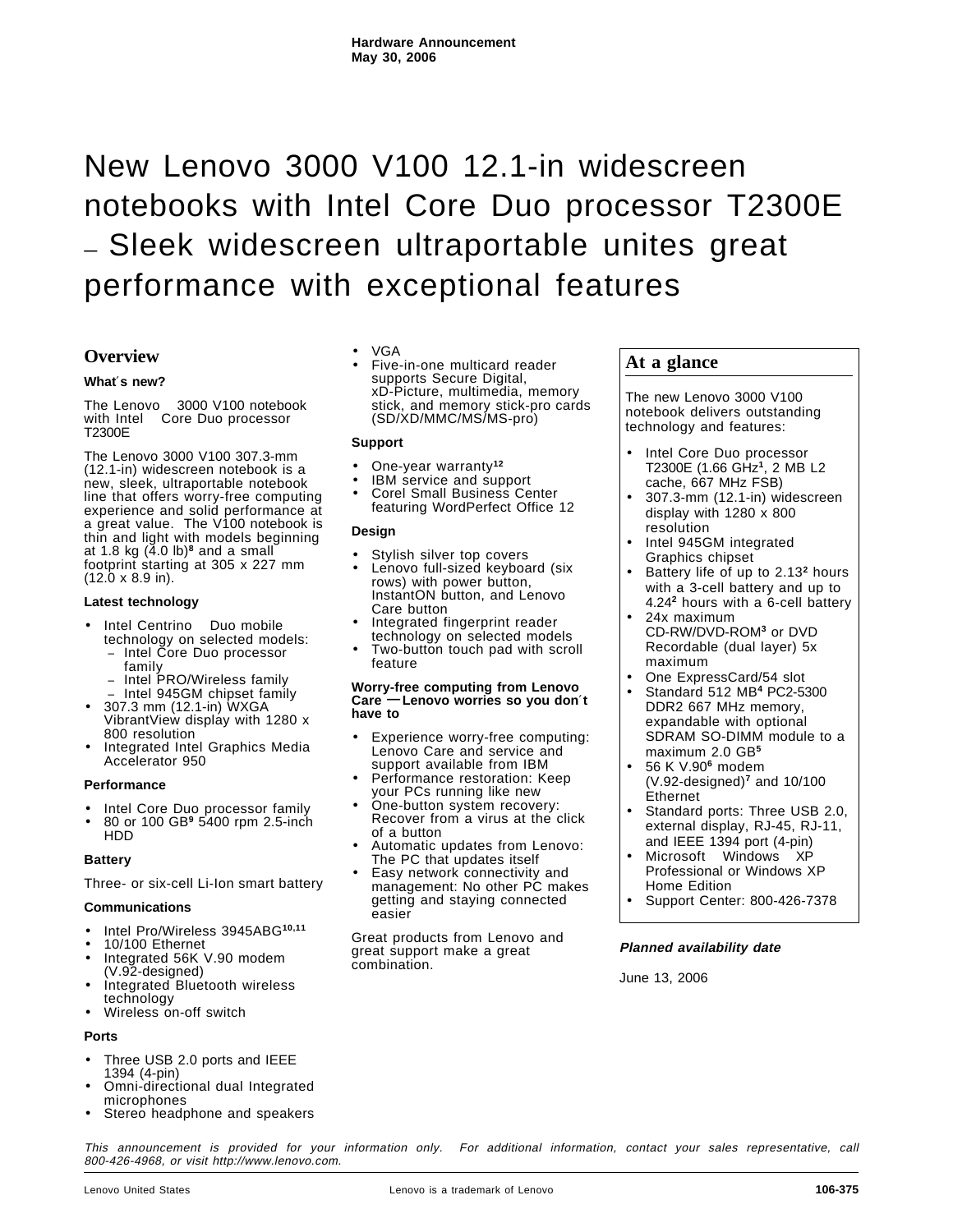# New Lenovo 3000 V100 12.1-in widescreen notebooks with Intel Core Duo processor T2300E **—** Sleek widescreen ultraportable unites great performance with exceptional features

# **Overview**

#### **What**′**s new?**

The Lenovo<sup>™</sup> 3000 V100 notebook with Intel® Core Duo processor T2300E

The Lenovo 3000 V100 307.3-mm (12.1-in) widescreen notebook is a new, sleek, ultraportable notebook line that offers worry-free computing experience and solid performance at a great value. The V100 notebook is thin and light with models beginning at 1.8 kg (4.0 lb)**<sup>8</sup>** and a small footprint starting at 305 x 227 mm (12.0 x 8.9 in).

#### **Latest technology**

- Intel Centrino<sup>®</sup> Duo mobile technology on selected models:
	- − Intel Core Duo processor family
	- − Intel PRO/Wireless family
	- − Intel 945GM chipset family
- 307.3 mm (12.1-in) WXGA VibrantView display with 1280 x 800 resolution
- Integrated Intel Graphics Media Accelerator 950

#### **Performance**

- Intel Core Duo processor family
- 80 or 100 GB**<sup>9</sup>** 5400 rpm 2.5-inch HDD

#### **Battery**

Three- or six-cell Li-Ion smart battery

#### **Communications**

- Intel Pro/Wireless 3945ABG**10,11**
- 10/100 Ethernet
- Integrated 56K V.90 modem (V.92-designed)
- Integrated Bluetooth wireless technology
- Wireless on-off switch

#### **Ports**

- Three USB 2.0 ports and IEEE 1394 (4-pin)
- Omni-directional dual Integrated microphones
- Stereo headphone and speakers
- VGA
- Five-in-one multicard reader supports Secure Digital, xD-Picture, multimedia, memory stick, and memory stick-pro cards (SD/XD/MMC/MS/MS-pro)

#### **Support**

- One-year warranty**<sup>12</sup>**
- IBM service and support
- Corel Small Business Center featuring WordPerfect Office 12

#### **Design**

- Stylish silver top covers
- Lenovo full-sized keyboard (six rows) with power button, InstantON button, and Lenovo Care button
- Integrated fingerprint reader technology on selected models
- Two-button touch pad with scroll feature

#### **Worry-free computing from Lenovo Care — Lenovo worries so you don**′**t have to**

- Experience worry-free computing: Lenovo Care and service and support available from IBM
- Performance restoration: Keep your PCs running like new
- One-button system recovery: Recover from a virus at the click of a button
- Automatic updates from Lenovo: The PC that updates itself
- Easy network connectivity and management: No other PC makes getting and staying connected easier

Great products from Lenovo and great support make a great combination.

# **At a glance**

The new Lenovo 3000 V100 notebook delivers outstanding technology and features:

- Intel Core Duo processor T2300E (1.66 GHz**<sup>1</sup>**, 2 MB L2 cache, 667 MHz FSB)
- 307.3-mm (12.1-in) widescreen display with 1280 x 800 resolution
- Intel 945GM integrated Graphics chipset
- Battery life of up to 2.13**<sup>2</sup>** hours with a 3-cell battery and up to 4.24**<sup>2</sup>** hours with a 6-cell battery • 24x maximum
- CD-RW/DVD-ROM**<sup>3</sup>** or DVD Recordable (dual layer) 5x maximum
- One ExpressCard/54 slot
- Standard 512 MB**<sup>4</sup>** PC2-5300 DDR2 667 MHz memory, expandable with optional SDRAM SO-DIMM module to a maximum 2.0 GB**<sup>5</sup>**
- 56 K V.90**<sup>6</sup>** modem (V.92-designed)**<sup>7</sup>** and 10/100 Ethernet
- Standard ports: Three USB 2.0, external display, RJ-45, RJ-11, and IEEE 1394 port (4-pin)
- Microsoft™ Windows™ XP Professional or Windows XP Home Edition
- Support Center: 800-426-7378

#### **Planned availability date**

June 13, 2006

This announcement is provided for your information only. For additional information, contact your sales representative, call 800-426-4968, or visit http://www.lenovo.com.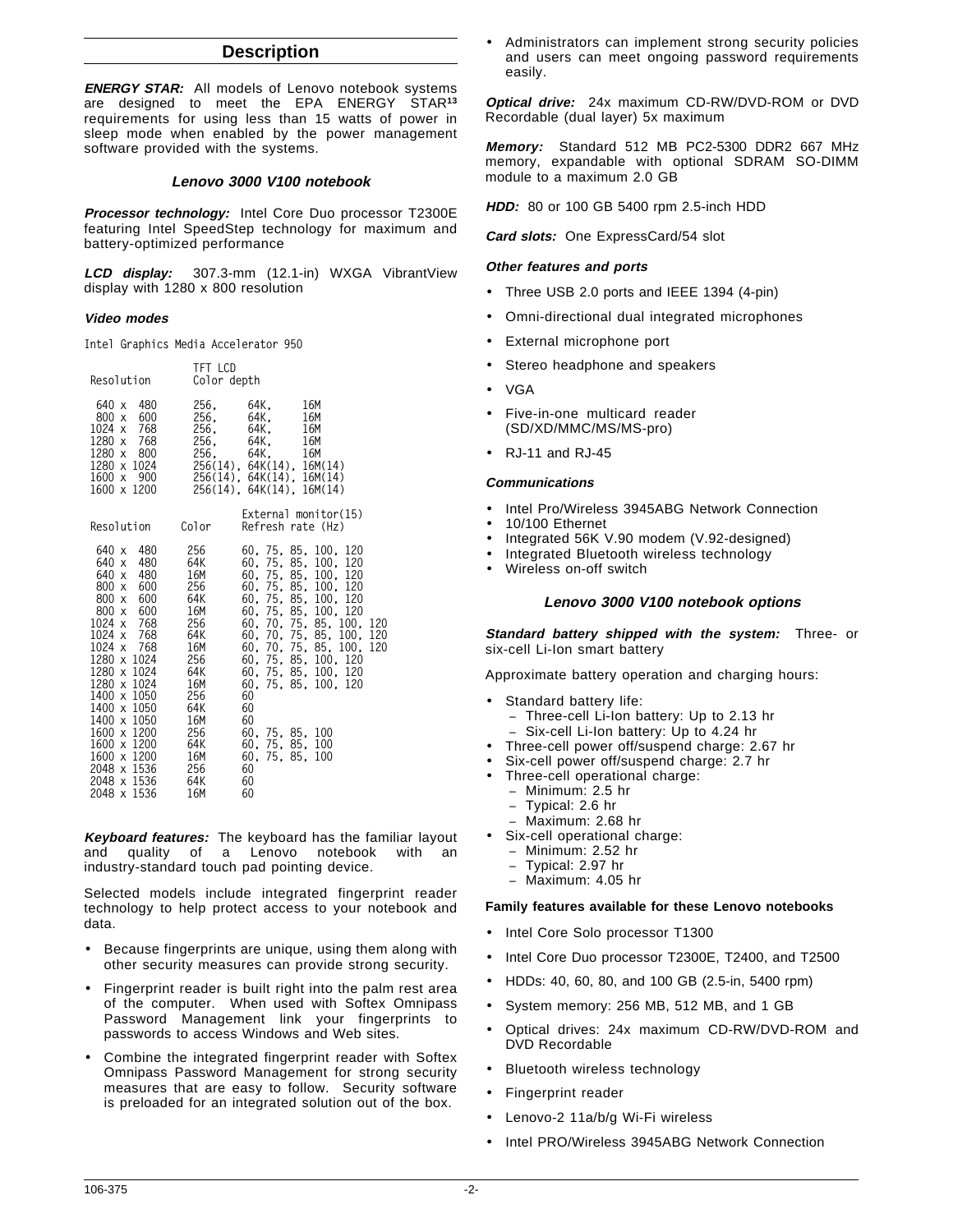# **Description**

**ENERGY STAR:** All models of Lenovo notebook systems are designed to meet the EPA ENERGY STAR**<sup>13</sup>** requirements for using less than 15 watts of power in sleep mode when enabled by the power management software provided with the systems.

#### **Lenovo 3000 V100 notebook**

**Processor technology:** Intel Core Duo processor T2300E featuring Intel SpeedStep technology for maximum and battery-optimized performance

**LCD display:** 307.3-mm (12.1-in) WXGA VibrantView display with 1280 x 800 resolution

#### **Video modes**

**Intel Graphics Media Accelerator 950**

**TFT LCD**

| Resolution                                                                                                                                                                                                                                                                                                                                                     | IFI LUD                                                                                                                            | Color depth                                                                                                                                                                                                                                                                                                                                                                                           |
|----------------------------------------------------------------------------------------------------------------------------------------------------------------------------------------------------------------------------------------------------------------------------------------------------------------------------------------------------------------|------------------------------------------------------------------------------------------------------------------------------------|-------------------------------------------------------------------------------------------------------------------------------------------------------------------------------------------------------------------------------------------------------------------------------------------------------------------------------------------------------------------------------------------------------|
| 640 x 480<br>800 x 600<br>1024 x 768<br>1280 x 768<br>1280 x 800<br>1280 x 1024<br>900<br>1600 x<br>1600 x 1200                                                                                                                                                                                                                                                | 256.<br>256.<br>256,<br>256,<br>256.                                                                                               | 64K.<br>16M<br>64K.<br>16M<br>64K,<br>64K,<br>16M<br>16M<br>64K,<br>16M<br>256(14), 64K(14), 16M(14)<br>256(14), 64K(14), 16M(14)<br>256(14), 64K(14), 16M(14)                                                                                                                                                                                                                                        |
| Resolution                                                                                                                                                                                                                                                                                                                                                     | Color                                                                                                                              | External monitor(15)<br>Refresh rate (Hz)                                                                                                                                                                                                                                                                                                                                                             |
| 480<br>640 x<br>480<br>640 x<br>640 x<br>480<br>600<br>800x<br>$800 \times$<br>$800 \times$<br>600 — 10<br>$1024 \times$<br>$1024 \times$<br>768<br>1024 x 768<br>1280 x 1024<br>1280 x 1024<br>1280 x 1024<br>1400 x 1050<br>1400 x 1050<br>1400 x 1050<br>1600 x 1200 256<br>1600 x 1200 64K<br>1600 x 1200 16M<br>2048 x 1536<br>2048 x 1536<br>2048 x 1536 | 256<br>64K<br>16M<br>256<br>600 64K<br>16M<br>768 256<br>64K<br>16M<br>256<br>64K<br>16M<br>256<br>64K<br>16M<br>256<br>64K<br>16M | 60, 75, 85, 100, 120<br>60, 75, 85, 100, 120<br>60, 75, 85, 100, 120<br>60, 75, 85, 100, 120<br>60, 75, 85, 100, 120<br>60, 75, 85, 100, 120<br>60, 70, 75, 85, 100, 120<br>60, 70, 75, 85, 100, 120<br>60, 70, 75, 85, 100, 120<br>60, 75, 85, 100, 120<br>60, 75, 85, 100, 120<br>60, 75, 85, 100, 120<br>60<br>60<br>60<br>60, 75, 85, 100<br>60. 75. 85. 100<br>60, 75, 85, 100<br>60<br>60<br>60 |

**Keyboard features:** The keyboard has the familiar layout and quality of a Lenovo notebook with an industry-standard touch pad pointing device.

Selected models include integrated fingerprint reader technology to help protect access to your notebook and data.

- Because fingerprints are unique, using them along with other security measures can provide strong security.
- Fingerprint reader is built right into the palm rest area of the computer. When used with Softex Omnipass Password Management link your fingerprints to passwords to access Windows and Web sites.
- Combine the integrated fingerprint reader with Softex Omnipass Password Management for strong security measures that are easy to follow. Security software is preloaded for an integrated solution out of the box.

Administrators can implement strong security policies and users can meet ongoing password requirements easily.

**Optical drive:** 24x maximum CD-RW/DVD-ROM or DVD Recordable (dual layer) 5x maximum

**Memory:** Standard 512 MB PC2-5300 DDR2 667 MHz memory, expandable with optional SDRAM SO-DIMM module to a maximum 2.0 GB

**HDD:** 80 or 100 GB 5400 rpm 2.5-inch HDD

**Card slots:** One ExpressCard/54 slot

# **Other features and ports**

- Three USB 2.0 ports and IEEE 1394 (4-pin)
- Omni-directional dual integrated microphones
- External microphone port
- Stereo headphone and speakers
- VGA
- Five-in-one multicard reader (SD/XD/MMC/MS/MS-pro)
- RJ-11 and RJ-45

# **Communications**

- Intel Pro/Wireless 3945ABG Network Connection
- 10/100 Ethernet
- Integrated 56K V.90 modem (V.92-designed)
- Integrated Bluetooth wireless technology
- Wireless on-off switch

#### **Lenovo 3000 V100 notebook options**

**Standard battery shipped with the system:** Three- or six-cell Li-Ion smart battery

Approximate battery operation and charging hours:

- Standard battery life:
	- − Three-cell Li-Ion battery: Up to 2.13 hr
	- − Six-cell Li-Ion battery: Up to 4.24 hr
- Three-cell power off/suspend charge: 2.67 hr
- Six-cell power off/suspend charge: 2.7 hr
- Three-cell operational charge:
	- − Minimum: 2.5 hr
	- − Typical: 2.6 hr
	- − Maximum: 2.68 hr
- Six-cell operational charge:
	- − Minimum: 2.52 hr
	- − Typical: 2.97 hr
	- − Maximum: 4.05 hr

#### **Family features available for these Lenovo notebooks**

- Intel Core Solo processor T1300
- Intel Core Duo processor T2300E, T2400, and T2500
- HDDs: 40, 60, 80, and 100 GB (2.5-in, 5400 rpm)
- System memory: 256 MB, 512 MB, and 1 GB
- Optical drives: 24x maximum CD-RW/DVD-ROM and DVD Recordable
- Bluetooth wireless technology
- Fingerprint reader
- Lenovo-2 11a/b/g Wi-Fi wireless
- Intel PRO/Wireless 3945ABG Network Connection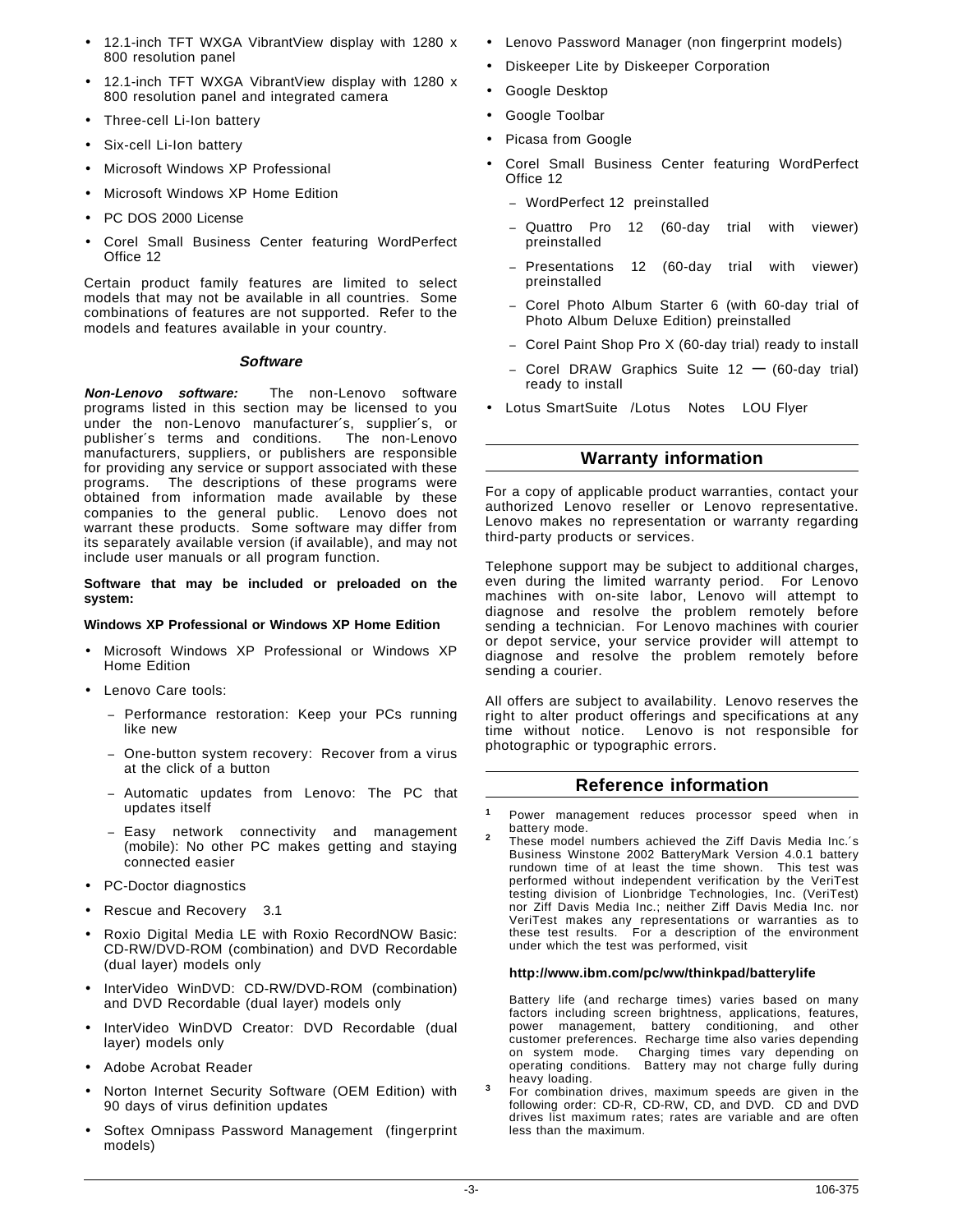- 12.1-inch TFT WXGA VibrantView display with 1280 x 800 resolution panel
- 12.1-inch TFT WXGA VibrantView display with 1280 x 800 resolution panel and integrated camera
- Three-cell Li-Ion battery
- Six-cell Li-Ion battery
- Microsoft Windows XP Professional
- Microsoft Windows XP Home Edition
- PC DOS 2000 License
- Corel Small Business Center featuring WordPerfect Office 12

Certain product family features are limited to select models that may not be available in all countries. Some combinations of features are not supported. Refer to the models and features available in your country.

#### **Software**

**Non-Lenovo software:** The non-Lenovo software programs listed in this section may be licensed to you under the non-Lenovo manufacturer′s, supplier′s, or publisher′s terms and conditions. The non-Lenovo manufacturers, suppliers, or publishers are responsible for providing any service or support associated with these programs. The descriptions of these programs were obtained from information made available by these companies to the general public. Lenovo does not warrant these products. Some software may differ from its separately available version (if available), and may not include user manuals or all program function.

**Software that may be included or preloaded on the system:**

#### **Windows XP Professional or Windows XP Home Edition**

- Microsoft Windows XP Professional or Windows XP Home Edition
- Lenovo Care tools:
	- − Performance restoration: Keep your PCs running like new
	- − One-button system recovery: Recover from a virus at the click of a button
	- − Automatic updates from Lenovo: The PC that updates itself
	- − Easy network connectivity and management (mobile): No other PC makes getting and staying connected easier
- PC-Doctor diagnostics
- Rescue and Recovery<sup>™</sup> 3.1
- Roxio Digital Media LE with Roxio RecordNOW Basic: CD-RW/DVD-ROM (combination) and DVD Recordable (dual layer) models only
- InterVideo WinDVD: CD-RW/DVD-ROM (combination) and DVD Recordable (dual layer) models only
- InterVideo WinDVD Creator: DVD Recordable (dual layer) models only
- Adobe Acrobat Reader
- Norton Internet Security Software (OEM Edition) with 90 days of virus definition updates
- Softex Omnipass Password Management (fingerprint models)
- Lenovo Password Manager (non fingerprint models)
- Diskeeper Lite by Diskeeper Corporation
- Google Desktop
- Google Toolbar
- Picasa from Google
- Corel Small Business Center featuring WordPerfect Office 12
	- − WordPerfect 12 preinstalled
	- − Quattro Pro 12 (60-day trial with viewer) preinstalled
	- − Presentations 12 (60-day trial with viewer) preinstalled
	- − Corel Photo Album Starter 6 (with 60-day trial of Photo Album Deluxe Edition) preinstalled
	- − Corel Paint Shop Pro X (60-day trial) ready to install
	- <sup>−</sup> Corel DRAW Graphics Suite 12 **—** (60-day trial) ready to install
- Lotus SmartSuite®/Lotus<sup>®</sup> Notes<sup>®</sup> LOU Flyer

# **Warranty information**

For a copy of applicable product warranties, contact your authorized Lenovo reseller or Lenovo representative. Lenovo makes no representation or warranty regarding third-party products or services.

Telephone support may be subject to additional charges, even during the limited warranty period. For Lenovo machines with on-site labor, Lenovo will attempt to diagnose and resolve the problem remotely before sending a technician. For Lenovo machines with courier or depot service, your service provider will attempt to diagnose and resolve the problem remotely before sending a courier.

All offers are subject to availability. Lenovo reserves the right to alter product offerings and specifications at any time without notice. Lenovo is not responsible for photographic or typographic errors.

# **Reference information**

Business Winstone 2002 BatteryMark Version 4.0.1 battery rundown time of at least the time shown. This test was performed without independent verification by the VeriTest testing division of Lionbridge Technologies, Inc. (VeriTest) nor Ziff Davis Media Inc.; neither Ziff Davis Media Inc. nor VeriTest makes any representations or warranties as to these test results. For a description of the environment under which the test was performed, visit

#### **http://www.ibm.com/pc/ww/thinkpad/batterylife**

Battery life (and recharge times) varies based on many factors including screen brightness, applications, features, power management, battery conditioning, and other customer preferences. Recharge time also varies depending on system mode. Charging times vary depending on operating conditions. Battery may not charge fully during

heavy loading. **<sup>3</sup>** For combination drives, maximum speeds are given in the following order: CD-R, CD-RW, CD, and DVD. CD and DVD drives list maximum rates; rates are variable and are often less than the maximum.

**<sup>1</sup>** Power management reduces processor speed when in battery mode. **<sup>2</sup>** These model numbers achieved the Ziff Davis Media Inc.′<sup>s</sup>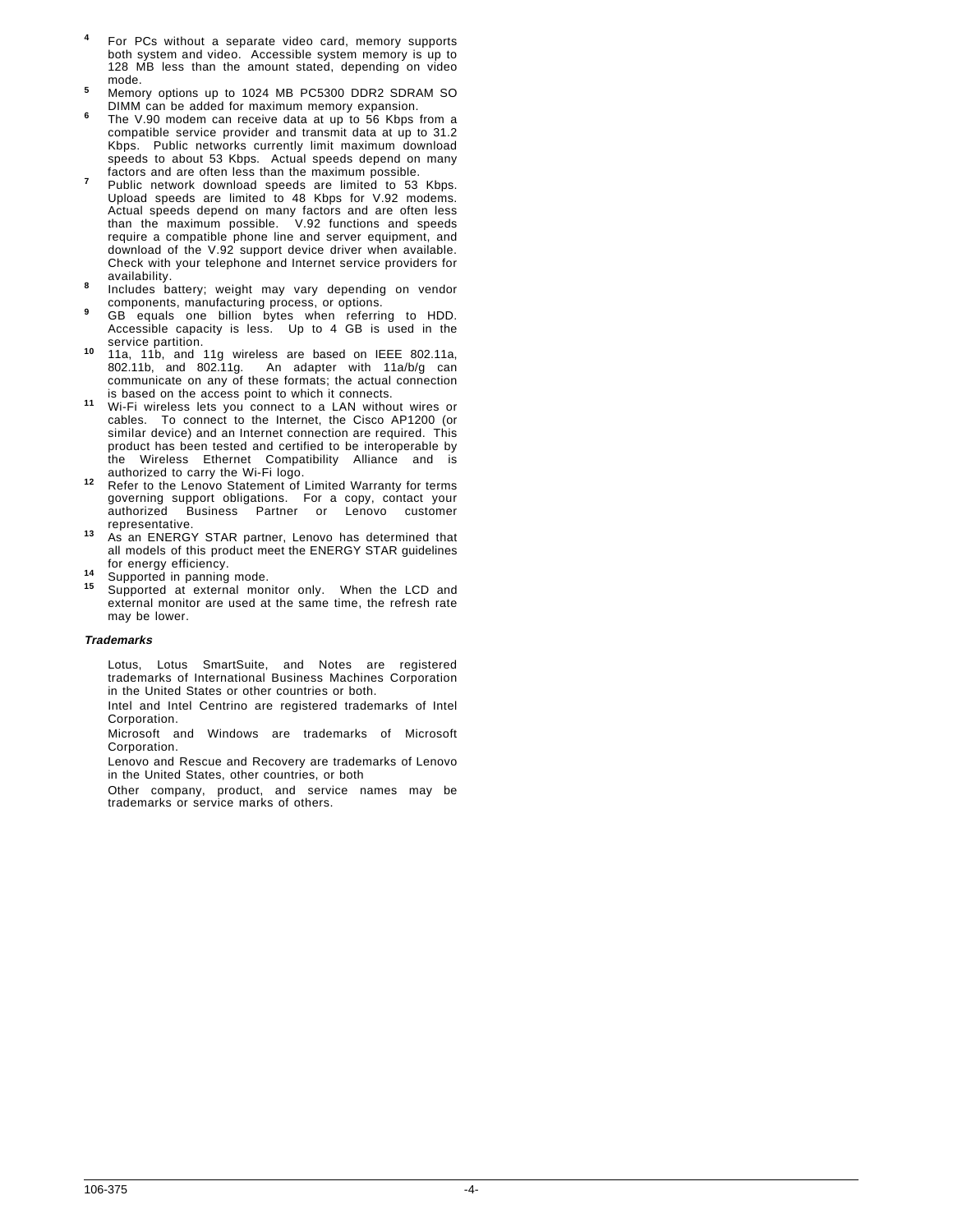- **<sup>4</sup>** For PCs without a separate video card, memory supports both system and video. Accessible system memory is up to 128 MB less than the amount stated, depending on video
- mode.<br>Memory options up to 1024 MB PC5300 DDR2 SDRAM SO<br>DIMM can be added for maximum memory expansion.
- The V.90 modem can receive data at up to 56 Kbps from a compatible service provider and transmit data at up to 31.2 Kbps. Public networks currently limit maximum download speeds to about 53 Kbps. Actual speeds depend on many factors and are often less than the maximum possible.
- Public network download speeds are limited to 53 Kbps. Upload speeds are limited to 48 Kbps for V.92 modems. Actual speeds depend on many factors and are often less than the maximum possible. V.92 functions and speeds require a compatible phone line and server equipment, and download of the V.92 support device driver when available. Check with your telephone and Internet service providers for
- Includes battery; weight may vary depending on vendor
- components, manufacturing process, or options. **<sup>9</sup>** GB equals one billion bytes when referring to HDD. Accessible capacity is less. Up to 4 GB is used in the
- <sup>10</sup> 11a, 11b, and 11g wireless are based on IEEE 802.11a, 802.11b, and 802.11g. An adapter with 11a/b/g can communicate on any of these formats; the actual connection<br>is based on the access point to which it connects.
- 11 Wi-Fi wireless lets you connect to a LAN without wires or cables. To connect to the Internet, the Cisco AP1200 (or similar device) and an Internet connection are required. This product has been tested and certified to be interoperable by the Wireless Ethernet Compatibility Alliance and is authorized to carry the Wi-Fi logo.
- 12 Refer to the Lenovo Statement of Limited Warranty for terms governing support obligations. For a copy, contact your authorized Business Partner or Lenovo customer
- representative. **<sup>13</sup>** As an ENERGY STAR partner, Lenovo has determined that all models of this product meet the ENERGY STAR guidelines<br>for energy efficiency.
- 
- for energy efficiency. **<sup>14</sup>** Supported in panning mode. **<sup>15</sup>** Supported at external monitor only. When the LCD and external monitor are used at the same time, the refresh rate may be lower.

#### **Trademarks**

Lotus, Lotus SmartSuite, and Notes are registered trademarks of International Business Machines Corporation in the United States or other countries or both.

Intel and Intel Centrino are registered trademarks of Intel Corporation.

Microsoft and Windows are trademarks of Microsoft Corporation.

Lenovo and Rescue and Recovery are trademarks of Lenovo in the United States, other countries, or both

Other company, product, and service names may be trademarks or service marks of others.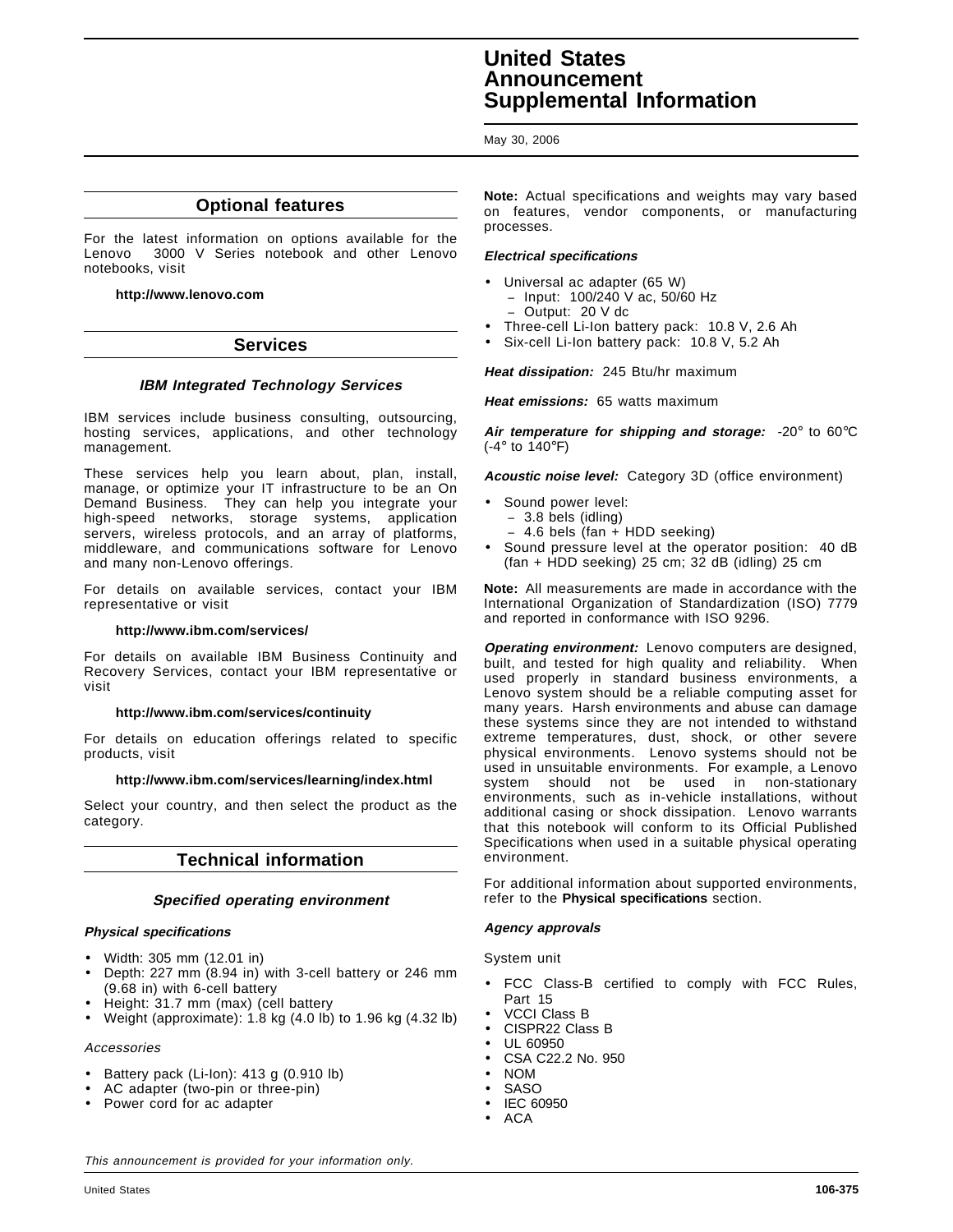# **United States Announcement Supplemental Information**

May 30, 2006

# **Optional features**

For the latest information on options available for the Lenovo<sup>™</sup> 3000 V Series notebook and other Lenovo notebooks, visit

**http://www.lenovo.com**

# **Services**

# **IBM Integrated Technology Services**

IBM services include business consulting, outsourcing, hosting services, applications, and other technology management.

These services help you learn about, plan, install, manage, or optimize your IT infrastructure to be an On Demand Business. They can help you integrate your high-speed networks, storage systems, application servers, wireless protocols, and an array of platforms, middleware, and communications software for Lenovo and many non-Lenovo offerings.

For details on available services, contact your IBM representative or visit

#### **http://www.ibm.com/services/**

For details on available IBM Business Continuity and Recovery Services, contact your IBM representative or visit

#### **http://www.ibm.com/services/continuity**

For details on education offerings related to specific products, visit

#### **http://www.ibm.com/services/learning/index.html**

Select your country, and then select the product as the category.

# **Technical information**

#### **Specified operating environment**

#### **Physical specifications**

- Width: 305 mm (12.01 in)
- Depth: 227 mm (8.94 in) with 3-cell battery or 246 mm (9.68 in) with 6-cell battery
- Height: 31.7 mm (max) (cell battery
- Weight (approximate): 1.8 kg (4.0 lb) to 1.96 kg (4.32 lb)

# Accessories

- Battery pack (Li-Ion): 413 g (0.910 lb)
- AC adapter (two-pin or three-pin)
- Power cord for ac adapter

**Note:** Actual specifications and weights may vary based on features, vendor components, or manufacturing processes.

# **Electrical specifications**

- Universal ac adapter (65 W) − Input: 100/240 V ac, 50/60 Hz − Output: 20 V dc
- Three-cell Li-Ion battery pack: 10.8 V, 2.6 Ah
- Six-cell Li-Ion battery pack: 10.8 V, 5.2 Ah

**Heat dissipation:** 245 Btu/hr maximum

**Heat emissions:** 65 watts maximum

**Air temperature for shipping and storage:** -20° to 60°C (-4° to 140°F)

**Acoustic noise level:** Category 3D (office environment)

- Sound power level:
	- − 3.8 bels (idling)
	- − 4.6 bels (fan + HDD seeking)
- Sound pressure level at the operator position: 40 dB (fan + HDD seeking) 25 cm; 32 dB (idling) 25 cm

**Note:** All measurements are made in accordance with the International Organization of Standardization (ISO) 7779 and reported in conformance with ISO 9296.

**Operating environment:** Lenovo computers are designed, built, and tested for high quality and reliability. When used properly in standard business environments, a Lenovo system should be a reliable computing asset for many years. Harsh environments and abuse can damage these systems since they are not intended to withstand extreme temperatures, dust, shock, or other severe physical environments. Lenovo systems should not be used in unsuitable environments. For example, a Lenovo system should not be used in non-stationary environments, such as in-vehicle installations, without additional casing or shock dissipation. Lenovo warrants that this notebook will conform to its Official Published Specifications when used in a suitable physical operating environment.

For additional information about supported environments, refer to the **Physical specifications** section.

#### **Agency approvals**

System unit

- FCC Class-B certified to comply with FCC Rules, Part 15
- VCCI Class B
- CISPR22 Class B
- UL 60950
- CSA C22.2 No. 950
- NOM
- SASO
- IEC 60950
- ACA

This announcement is provided for your information only.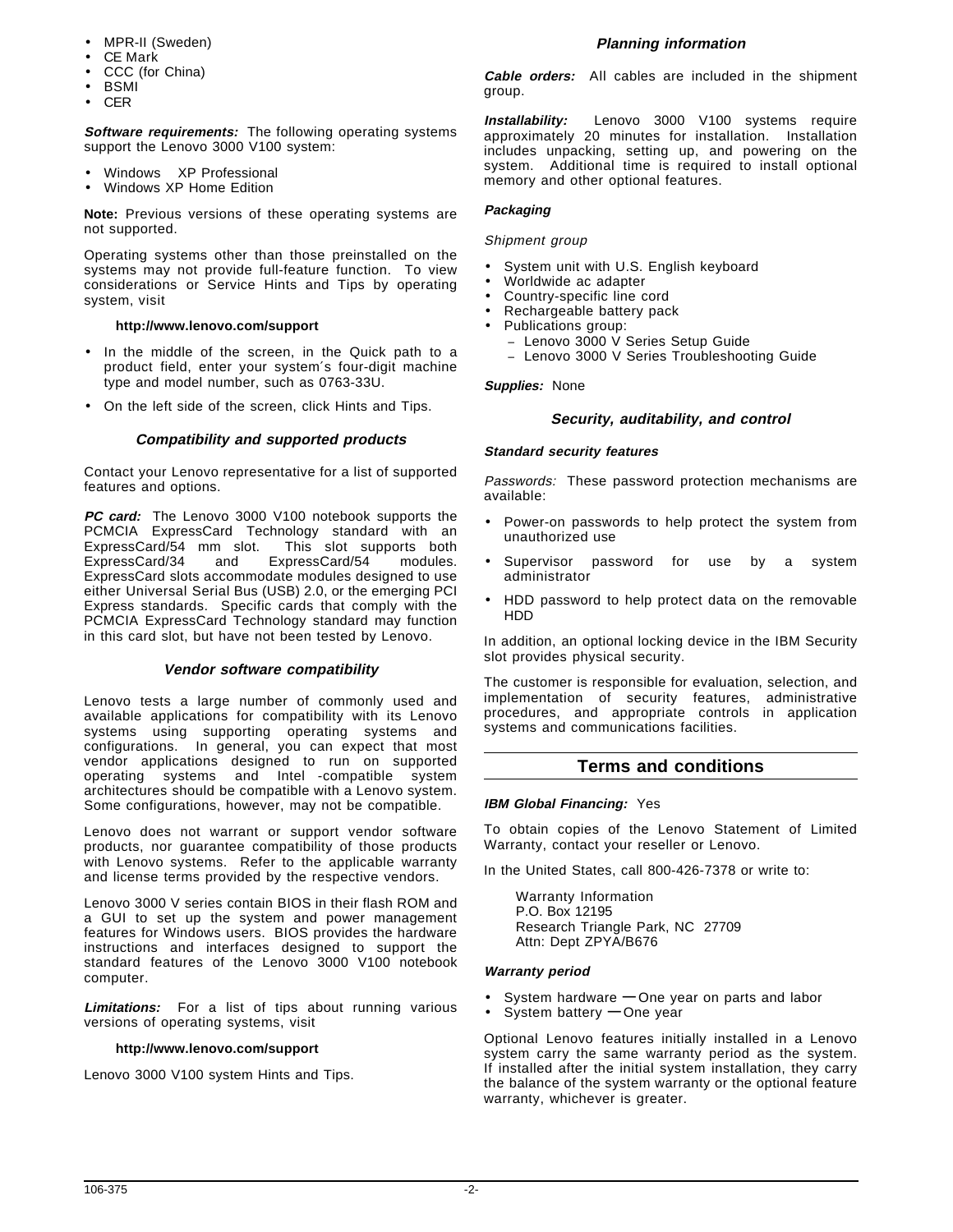- MPR-II (Sweden)
- CE Mark
- CCC (for China)
- BSMI
- CER

**Software requirements:** The following operating systems support the Lenovo 3000 V100 system:

- Windows™ XP Professional
- Windows XP Home Edition

**Note:** Previous versions of these operating systems are not supported.

Operating systems other than those preinstalled on the systems may not provide full-feature function. To view considerations or Service Hints and Tips by operating system, visit

#### **http://www.lenovo.com/support**

- In the middle of the screen, in the Quick path to a product field, enter your system′s four-digit machine type and model number, such as 0763-33U.
- On the left side of the screen, click Hints and Tips.

# **Compatibility and supported products**

Contact your Lenovo representative for a list of supported features and options.

**PC card:** The Lenovo 3000 V100 notebook supports the PCMCIA ExpressCard Technology standard with an ExpressCard/54 mm slot. This slot supports both ExpressCard/34 and ExpressCard/54 modules. ExpressCard slots accommodate modules designed to use either Universal Serial Bus (USB) 2.0, or the emerging PCI Express standards. Specific cards that comply with the PCMCIA ExpressCard Technology standard may function in this card slot, but have not been tested by Lenovo.

#### **Vendor software compatibility**

Lenovo tests a large number of commonly used and available applications for compatibility with its Lenovo systems using supporting operating systems and configurations. In general, you can expect that most vendor applications designed to run on supported operating systems and Intel<sup>®</sup>-compatible system architectures should be compatible with a Lenovo system. Some configurations, however, may not be compatible.

Lenovo does not warrant or support vendor software products, nor guarantee compatibility of those products with Lenovo systems. Refer to the applicable warranty and license terms provided by the respective vendors.

Lenovo 3000 V series contain BIOS in their flash ROM and a GUI to set up the system and power management features for Windows users. BIOS provides the hardware instructions and interfaces designed to support the standard features of the Lenovo 3000 V100 notebook computer.

**Limitations:** For a list of tips about running various versions of operating systems, visit

#### **http://www.lenovo.com/support**

Lenovo 3000 V100 system Hints and Tips.

# **Planning information**

**Cable orders:** All cables are included in the shipment group.

**Installability:** Lenovo 3000 V100 systems require approximately 20 minutes for installation. Installation includes unpacking, setting up, and powering on the system. Additional time is required to install optional memory and other optional features.

#### **Packaging**

# Shipment group

- System unit with U.S. English keyboard
- Worldwide ac adapter
- Country-specific line cord
- Rechargeable battery pack
- Publications group:
	- − Lenovo 3000 V Series Setup Guide − Lenovo 3000 V Series Troubleshooting Guide

#### **Supplies:** None

# **Security, auditability, and control**

#### **Standard security features**

Passwords: These password protection mechanisms are available:

- Power-on passwords to help protect the system from unauthorized use
- Supervisor password for use by a system administrator
- HDD password to help protect data on the removable HDD

In addition, an optional locking device in the IBM Security slot provides physical security.

The customer is responsible for evaluation, selection, and implementation of security features, administrative procedures, and appropriate controls in application systems and communications facilities.

# **Terms and conditions**

#### **IBM Global Financing:** Yes

To obtain copies of the Lenovo Statement of Limited Warranty, contact your reseller or Lenovo.

In the United States, call 800-426-7378 or write to:

Warranty Information P.O. Box 12195 Research Triangle Park, NC 27709 Attn: Dept ZPYA/B676

#### **Warranty period**

- System hardware **—** One year on parts and labor
- System battery **—** One year

Optional Lenovo features initially installed in a Lenovo system carry the same warranty period as the system. If installed after the initial system installation, they carry the balance of the system warranty or the optional feature warranty, whichever is greater.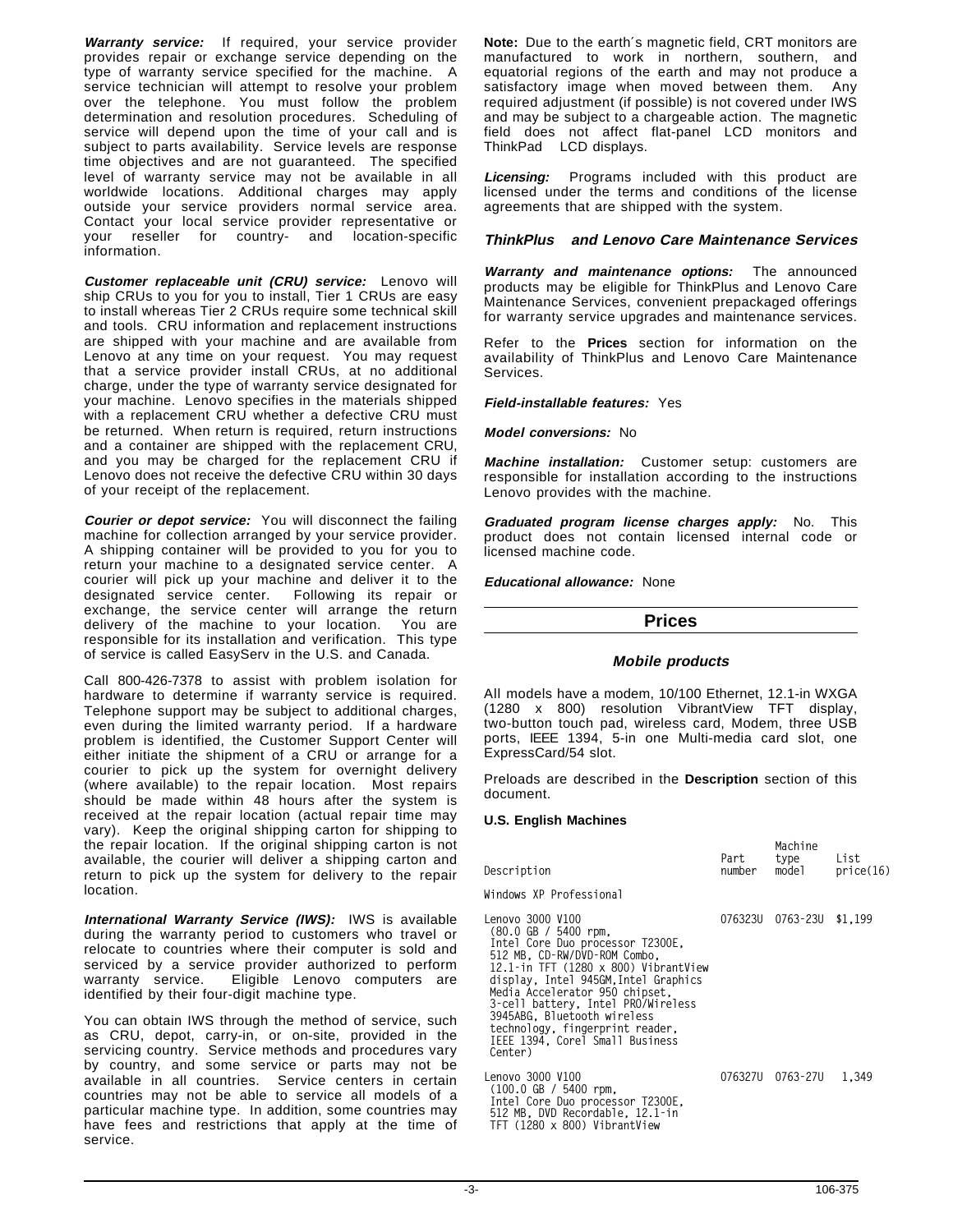**Warranty service:** If required, your service provider provides repair or exchange service depending on the type of warranty service specified for the machine. A service technician will attempt to resolve your problem over the telephone. You must follow the problem determination and resolution procedures. Scheduling of service will depend upon the time of your call and is subject to parts availability. Service levels are response time objectives and are not guaranteed. The specified level of warranty service may not be available in all worldwide locations. Additional charges may apply outside your service providers normal service area. Contact your local service provider representative or your reseller for country- and location-specific information.

**Customer replaceable unit (CRU) service:** Lenovo will ship CRUs to you for you to install, Tier 1 CRUs are easy to install whereas Tier 2 CRUs require some technical skill and tools. CRU information and replacement instructions are shipped with your machine and are available from Lenovo at any time on your request. You may request that a service provider install CRUs, at no additional charge, under the type of warranty service designated for your machine. Lenovo specifies in the materials shipped with a replacement CRU whether a defective CRU must be returned. When return is required, return instructions and a container are shipped with the replacement CRU, and you may be charged for the replacement CRU if Lenovo does not receive the defective CRU within 30 days of your receipt of the replacement.

**Courier or depot service:** You will disconnect the failing machine for collection arranged by your service provider. A shipping container will be provided to you for you to return your machine to a designated service center. A courier will pick up your machine and deliver it to the designated service center. Following its repair or exchange, the service center will arrange the return delivery of the machine to your location. You are responsible for its installation and verification. This type of service is called EasyServ in the U.S. and Canada.

Call 800-426-7378 to assist with problem isolation for hardware to determine if warranty service is required. Telephone support may be subject to additional charges, even during the limited warranty period. If a hardware problem is identified, the Customer Support Center will either initiate the shipment of a CRU or arrange for a courier to pick up the system for overnight delivery (where available) to the repair location. Most repairs should be made within 48 hours after the system is received at the repair location (actual repair time may vary). Keep the original shipping carton for shipping to the repair location. If the original shipping carton is not available, the courier will deliver a shipping carton and return to pick up the system for delivery to the repair location.

**International Warranty Service (IWS):** IWS is available during the warranty period to customers who travel or relocate to countries where their computer is sold and serviced by a service provider authorized to perform warranty service. Eligible Lenovo computers are identified by their four-digit machine type.

You can obtain IWS through the method of service, such as CRU, depot, carry-in, or on-site, provided in the servicing country. Service methods and procedures vary by country, and some service or parts may not be available in all countries. Service centers in certain countries may not be able to service all models of a particular machine type. In addition, some countries may have fees and restrictions that apply at the time of service.

**Note:** Due to the earth′s magnetic field, CRT monitors are manufactured to work in northern, southern, and equatorial regions of the earth and may not produce a satisfactory image when moved between them. Any required adjustment (if possible) is not covered under IWS and may be subject to a chargeable action. The magnetic field does not affect flat-panel LCD monitors and ThinkPad<sup>®</sup> LCD displays.

**Licensing:** Programs included with this product are licensed under the terms and conditions of the license agreements that are shipped with the system.

# **ThinkPlus and Lenovo Care Maintenance Services**

**Warranty and maintenance options:** The announced products may be eligible for ThinkPlus and Lenovo Care Maintenance Services, convenient prepackaged offerings for warranty service upgrades and maintenance services.

Refer to the **Prices** section for information on the availability of ThinkPlus and Lenovo Care Maintenance Services.

#### **Field-installable features:** Yes

#### **Model conversions:** No

**Machine installation:** Customer setup: customers are responsible for installation according to the instructions Lenovo provides with the machine.

**Graduated program license charges apply:** No. This product does not contain licensed internal code or licensed machine code.

**Educational allowance:** None

# **Prices**

#### **Mobile products**

All models have a modem, 10/100 Ethernet, 12.1-in WXGA (1280 x 800) resolution VibrantView TFT display, two-button touch pad, wireless card, Modem, three USB ports, IEEE 1394, 5-in one Multi-media card slot, one ExpressCard/54 slot.

Preloads are described in the **Description** section of this document.

#### **U.S. English Machines**

| Description                                                                                                                                                                                                                                                                                                                                                                                                    | Part<br>number | type<br>model            | List<br>price(16) |
|----------------------------------------------------------------------------------------------------------------------------------------------------------------------------------------------------------------------------------------------------------------------------------------------------------------------------------------------------------------------------------------------------------------|----------------|--------------------------|-------------------|
| Windows XP Professional                                                                                                                                                                                                                                                                                                                                                                                        |                |                          |                   |
| Lenovo 3000 V100<br>$(80.0 \text{ GB} / 5400 \text{ rpm})$<br>Intel Core Duo processor T2300E.<br>512 MB, CD-RW/DVD-ROM Combo,<br>12.1 $\cdot$ in TFT (1280 x 800) VibrantView<br>display, Intel 945GM, Intel Graphics<br>Media Accelerator 950 chipset.<br>3-cell battery, Intel PRO/Wireless<br>3945ABG, Bluetooth wireless<br>technology, fingerprint reader,<br>IEEE 1394, Corel Small Business<br>Center) |                | 076323U 0763-23U \$1,199 |                   |
| Lenovo 3000 V100<br>$(100.0 \text{ GB} / 5400 \text{ rpm})$<br>Intel Core Duo processor T2300E,<br>512 MB DVD Recordable 12 1-in                                                                                                                                                                                                                                                                               |                | 076327U 0763-27U         | 1.349             |

 **512 MB, DVD Recordable, 12.1-in TFT (1280 x 800) VibrantView**

**Machine**